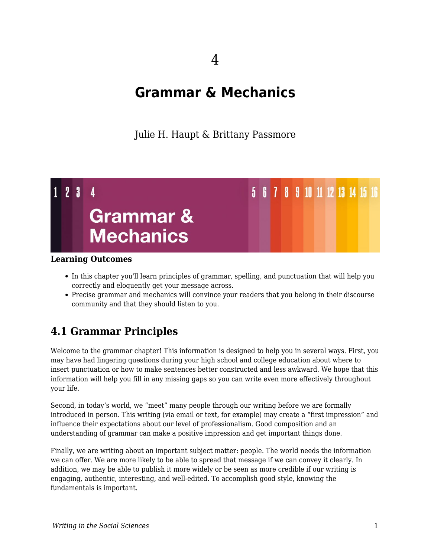## 4

# **Grammar & Mechanics**

Julie H. Haupt & Brittany Passmore



### **Learning Outcomes**

- In this chapter you'll learn principles of grammar, spelling, and punctuation that will help you correctly and eloquently get your message across.
- Precise grammar and mechanics will convince your readers that you belong in their discourse community and that they should listen to you.

### **4.1 Grammar Principles**

Welcome to the grammar chapter! This information is designed to help you in several ways. First, you may have had lingering questions during your high school and college education about where to insert punctuation or how to make sentences better constructed and less awkward. We hope that this information will help you fill in any missing gaps so you can write even more effectively throughout your life.

Second, in today's world, we "meet" many people through our writing before we are formally introduced in person. This writing (via email or text, for example) may create a "first impression" and influence their expectations about our level of professionalism. Good composition and an understanding of grammar can make a positive impression and get important things done.

Finally, we are writing about an important subject matter: people. The world needs the information we can offer. We are more likely to be able to spread that message if we can convey it clearly. In addition, we may be able to publish it more widely or be seen as more credible if our writing is engaging, authentic, interesting, and well-edited. To accomplish good style, knowing the fundamentals is important.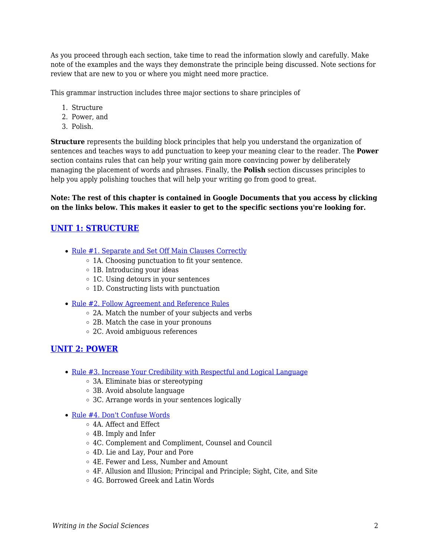As you proceed through each section, take time to read the information slowly and carefully. Make note of the examples and the ways they demonstrate the principle being discussed. Note sections for review that are new to you or where you might need more practice.

This grammar instruction includes three major sections to share principles of

- 1. Structure
- 2. Power, and
- 3. Polish.

**Structure** represents the building block principles that help you understand the organization of sentences and teaches ways to add punctuation to keep your meaning clear to the reader. The **Power** section contains rules that can help your writing gain more convincing power by deliberately managing the placement of words and phrases. Finally, the **Polish** section discusses principles to help you apply polishing touches that will help your writing go from good to great.

**Note: The rest of this chapter is contained in Google Documents that you access by clicking on the links below. This makes it easier to get to the specific sections you're looking for.**

### **[UNIT 1: STRUCTURE](https://docs.google.com/document/d/1QmEa3q8E_V_G9hZU4s85inY8AfRUt6h2vwf2WZqUxyI/edit?usp=sharing)**

- [Rule #1. Separate and Set Off Main Clauses Correctly](https://docs.google.com/document/d/1QmEa3q8E_V_G9hZU4s85inY8AfRUt6h2vwf2WZqUxyI/edit?usp=sharing)
	- $\circ$  1A. Choosing punctuation to fit your sentence.
	- 1B. Introducing your ideas
	- 1C. Using detours in your sentences
	- 1D. Constructing lists with punctuation
- [Rule #2. Follow Agreement and Reference Rules](https://docs.google.com/document/d/1QmEa3q8E_V_G9hZU4s85inY8AfRUt6h2vwf2WZqUxyI/edit#heading=h.uxvtcbsgjkz3)
	- 2A. Match the number of your subjects and verbs
	- 2B. Match the case in your pronouns
	- 2C. Avoid ambiguous references

#### **[UNIT 2: POWER](https://docs.google.com/document/d/13NuqTZa5tD95Lk00PacuKU8XBWxmPhz88CDRtvBq9A8/edit?usp=sharing)**

- [Rule #3. Increase Your Credibility with Respectful and Logical Language](https://docs.google.com/document/d/13NuqTZa5tD95Lk00PacuKU8XBWxmPhz88CDRtvBq9A8/edit?usp=sharing)
	- 3A. Eliminate bias or stereotyping
	- 3B. Avoid absolute language
	- 3C. Arrange words in your sentences logically
- [Rule #4. Don't Confuse Words](https://docs.google.com/document/d/13NuqTZa5tD95Lk00PacuKU8XBWxmPhz88CDRtvBq9A8/edit#heading=h.7geqkd9hj9y7)
	- 4A. Affect and Effect
	- 4B. Imply and Infer
	- 4C. Complement and Compliment, Counsel and Council
	- 4D. Lie and Lay, Pour and Pore
	- 4E. Fewer and Less, Number and Amount
	- 4F. Allusion and Illusion; Principal and Principle; Sight, Cite, and Site
	- 4G. Borrowed Greek and Latin Words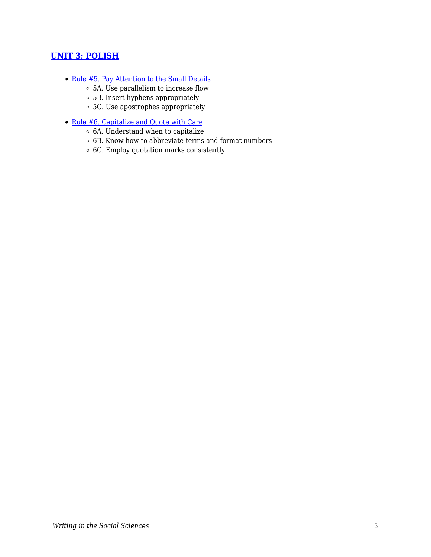### **[UNIT 3: POLISH](https://docs.google.com/document/d/1UM-K3TbwAPUN_aB3Syt4koHobbJlr6fRSRoaBe1N5E4/edit?usp=sharing)**

- [Rule #5. Pay Attention to the Small Details](https://docs.google.com/document/d/1UM-K3TbwAPUN_aB3Syt4koHobbJlr6fRSRoaBe1N5E4/edit?usp=sharing)
	- 5A. Use parallelism to increase flow
	- 5B. Insert hyphens appropriately
	- 5C. Use apostrophes appropriately
- [Rule #6. Capitalize and Quote with Care](https://docs.google.com/document/d/1UM-K3TbwAPUN_aB3Syt4koHobbJlr6fRSRoaBe1N5E4/edit#heading=h.f2olvthz10ic)
	- $\circ$  6A. Understand when to capitalize
	- $\circ$  6B. Know how to abbreviate terms and format numbers
	- 6C. Employ quotation marks consistently